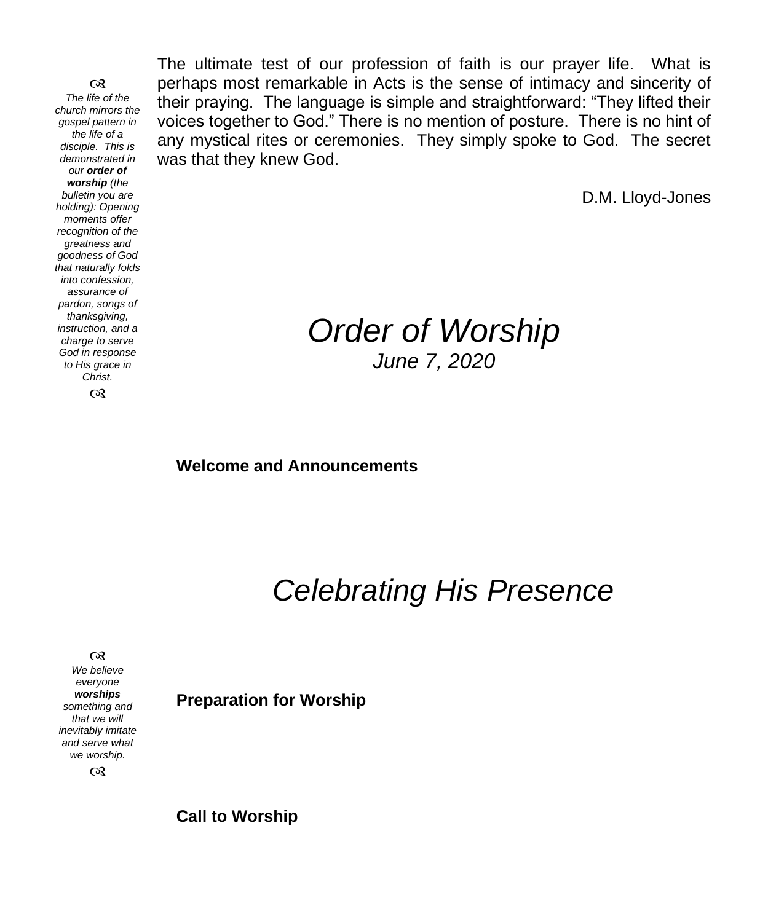෬ *The life of the church mirrors the gospel pattern in the life of a disciple. This is demonstrated in our order of worship (the bulletin you are holding): Opening moments offer recognition of the greatness and goodness of God that naturally folds into confession, assurance of pardon, songs of thanksgiving, instruction, and a charge to serve God in response to His grace in Christ.*  $\infty$ 

 $\infty$ 

*We believe everyone worships something and that we will inevitably imitate and serve what we worship.*

 $\infty$ 

The ultimate test of our profession of faith is our prayer life. What is perhaps most remarkable in Acts is the sense of intimacy and sincerity of their praying. The language is simple and straightforward: "They lifted their voices together to God." There is no mention of posture. There is no hint of any mystical rites or ceremonies. They simply spoke to God. The secret was that they knew God.

D.M. Lloyd-Jones

## *Order of Worship June 7, 2020*

**Welcome and Announcements** 

*Celebrating His Presence*

**Preparation for Worship**

**Call to Worship**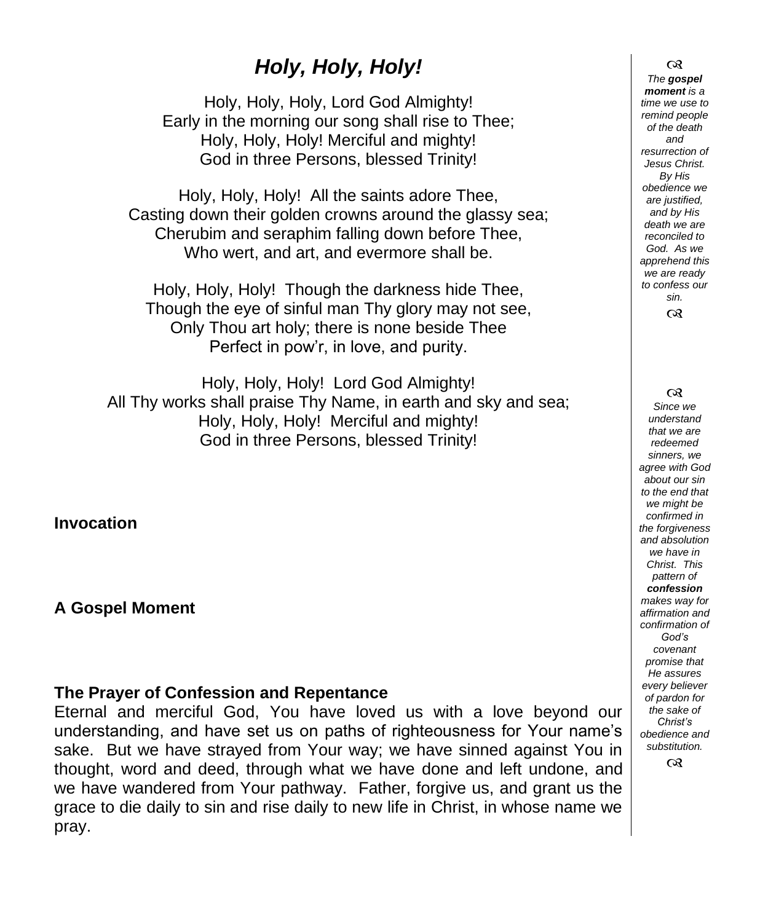## *Holy, Holy, Holy!*

Holy, Holy, Holy, Lord God Almighty! Early in the morning our song shall rise to Thee; Holy, Holy, Holy! Merciful and mighty! God in three Persons, blessed Trinity!

Holy, Holy, Holy! All the saints adore Thee, Casting down their golden crowns around the glassy sea; Cherubim and seraphim falling down before Thee, Who wert, and art, and evermore shall be.

Holy, Holy, Holy! Though the darkness hide Thee, Though the eye of sinful man Thy glory may not see, Only Thou art holy; there is none beside Thee Perfect in pow'r, in love, and purity.

Holy, Holy, Holy! Lord God Almighty! All Thy works shall praise Thy Name, in earth and sky and sea; Holy, Holy, Holy! Merciful and mighty! God in three Persons, blessed Trinity!

**Invocation**

**A Gospel Moment** 

#### **The Prayer of Confession and Repentance**

Eternal and merciful God, You have loved us with a love beyond our understanding, and have set us on paths of righteousness for Your name's sake. But we have strayed from Your way; we have sinned against You in thought, word and deed, through what we have done and left undone, and we have wandered from Your pathway. Father, forgive us, and grant us the grace to die daily to sin and rise daily to new life in Christ, in whose name we pray.

 $\infty$ *The gospel moment is a time we use to remind people of the death and resurrection of Jesus Christ. By His obedience we are justified, and by His death we are reconciled to God. As we apprehend this we are ready to confess our sin.* ෬

 $\infty$ 

*Since we understand that we are redeemed sinners, we agree with God about our sin to the end that we might be confirmed in the forgiveness and absolution we have in Christ. This pattern of confession makes way for affirmation and confirmation of God's covenant promise that He assures every believer of pardon for the sake of Christ's obedience and substitution.*  $\infty$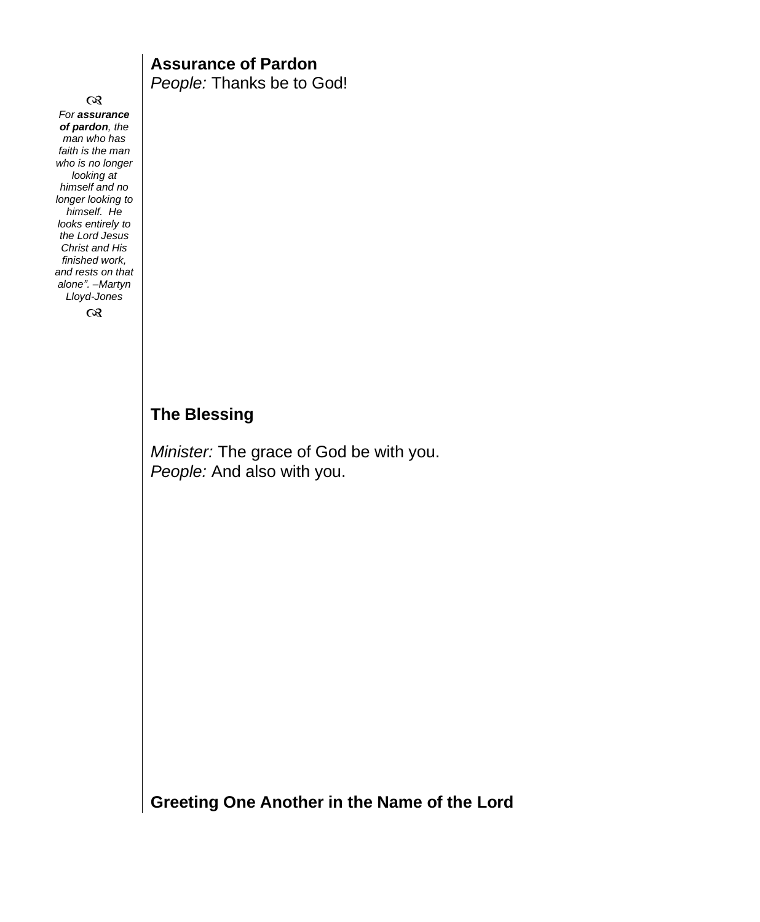$\infty$ *For assurance of pardon, the man who has faith is the man who is no longer looking at himself and no longer looking to himself. He looks entirely to the Lord Jesus Christ and His finished work, and rests on that alone". –Martyn Lloyd-Jones*

 $\infty$ 

#### **Assurance of Pardon** *People:* Thanks be to God!

## **The Blessing**

*Minister:* The grace of God be with you. *People:* And also with you.

**Greeting One Another in the Name of the Lord**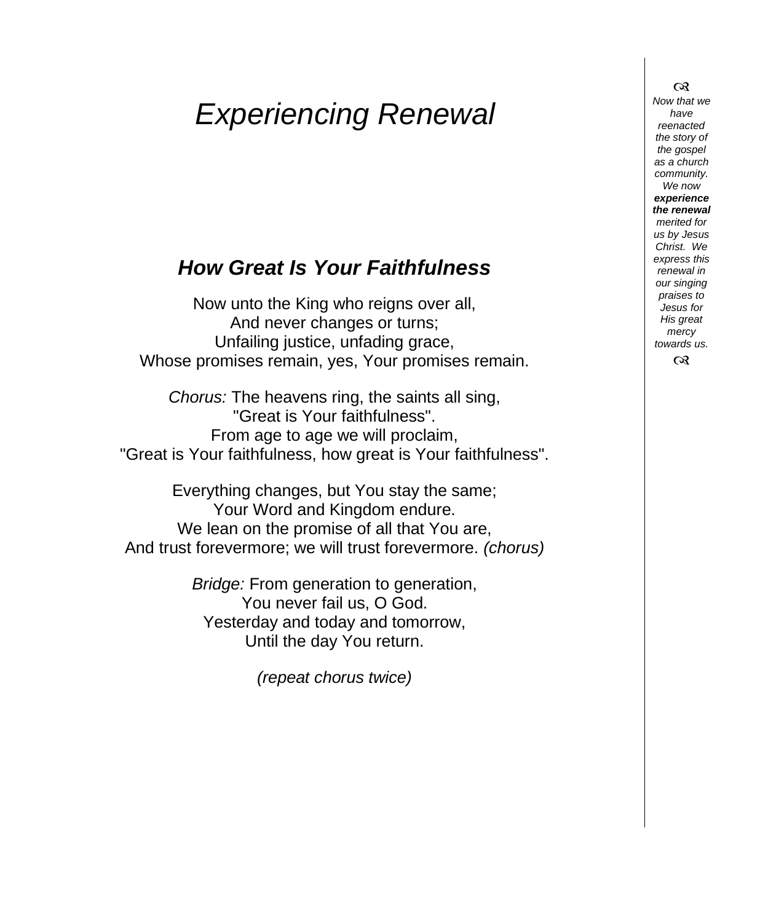# *Experiencing Renewal*

## *How Great Is Your Faithfulness*

Now unto the King who reigns over all, And never changes or turns; Unfailing justice, unfading grace, Whose promises remain, yes, Your promises remain.

*Chorus:* The heavens ring, the saints all sing, "Great is Your faithfulness". From age to age we will proclaim, "Great is Your faithfulness, how great is Your faithfulness".

Everything changes, but You stay the same; Your Word and Kingdom endure. We lean on the promise of all that You are, And trust forevermore; we will trust forevermore. *(chorus)*

> *Bridge:* From generation to generation, You never fail us, O God. Yesterday and today and tomorrow, Until the day You return.

> > *(repeat chorus twice)*

*Now that we have reenacted the story of the gospel as a church community. We now experience the renewal merited for us by Jesus Christ. We express this renewal in our singing praises to Jesus for His great mercy towards us.*

 $\infty$ 

 $\infty$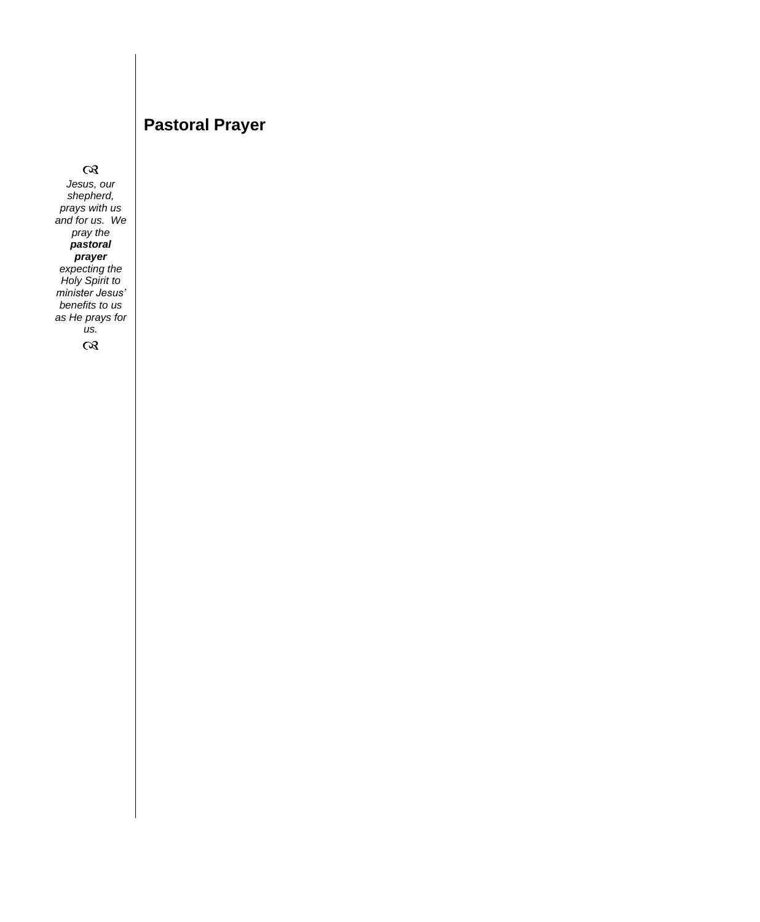### **Pastoral Prayer**

 $\infty$ *Jesus, our shepherd, prays with us and for us. We pray the pastoral prayer expecting the Holy Spirit to minister Jesus' benefits to us as He prays for us.*

 $\infty$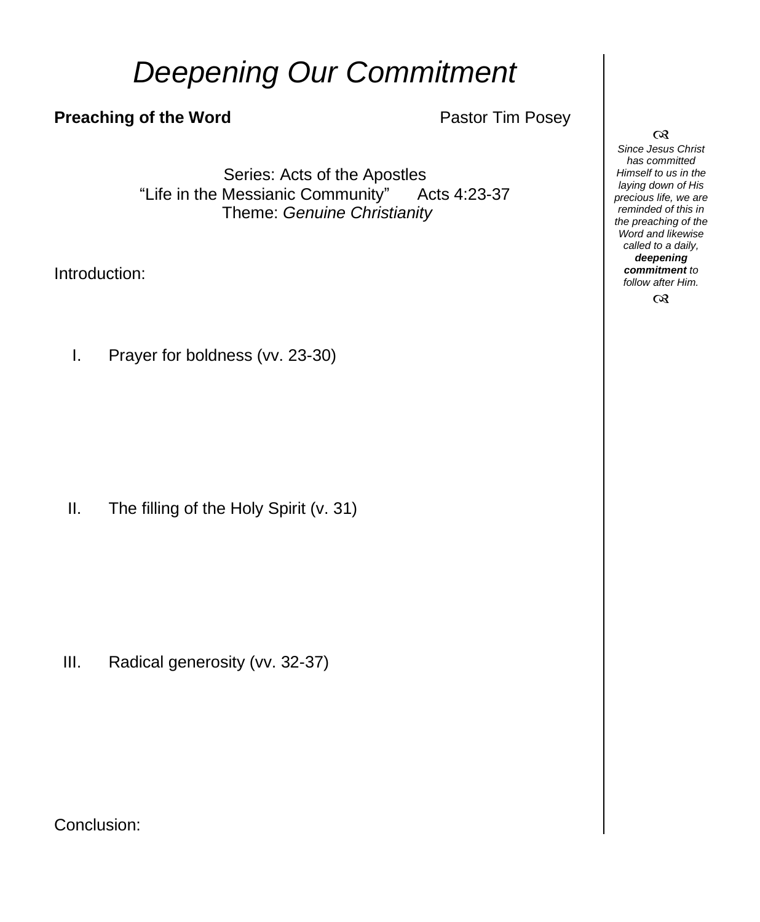# *Deepening Our Commitment*

### **Preaching of the Word Pastor Tim Posey**

Series: Acts of the Apostles "Life in the Messianic Community" Acts 4:23-37 Theme: *Genuine Christianity*

Introduction:

I. Prayer for boldness (vv. 23-30)

II. The filling of the Holy Spirit (v. 31)

III. Radical generosity (vv. 32-37)

Conclusion:

#### $\infty$

*Since Jesus Christ has committed Himself to us in the laying down of His precious life, we are reminded of this in the preaching of the Word and likewise called to a daily, deepening commitment to follow after Him.*

 $\infty$